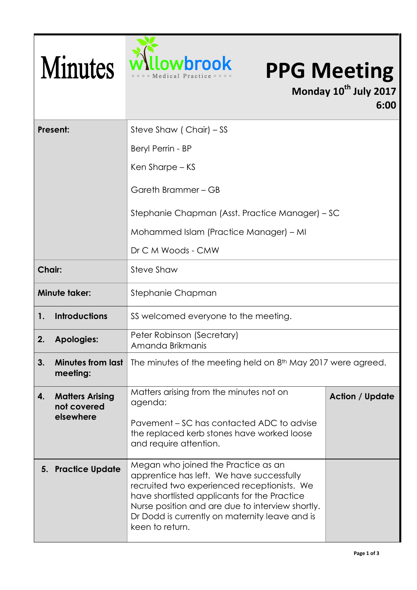

## **DWbrook** PPG Meeting

**Monday 10th July 2017 6:00**

| Present:             |                                                    | Steve Shaw (Chair) – SS                                                                                                                                                                                                                                                                                  |                        |  |
|----------------------|----------------------------------------------------|----------------------------------------------------------------------------------------------------------------------------------------------------------------------------------------------------------------------------------------------------------------------------------------------------------|------------------------|--|
|                      |                                                    | Beryl Perrin - BP                                                                                                                                                                                                                                                                                        |                        |  |
|                      |                                                    | Ken Sharpe – KS                                                                                                                                                                                                                                                                                          |                        |  |
|                      |                                                    | Gareth Brammer - GB                                                                                                                                                                                                                                                                                      |                        |  |
|                      |                                                    | Stephanie Chapman (Asst. Practice Manager) – SC                                                                                                                                                                                                                                                          |                        |  |
|                      |                                                    | Mohammed Islam (Practice Manager) – MI                                                                                                                                                                                                                                                                   |                        |  |
|                      |                                                    | Dr C M Woods - CMW                                                                                                                                                                                                                                                                                       |                        |  |
| Chair:               |                                                    | Steve Shaw                                                                                                                                                                                                                                                                                               |                        |  |
| <b>Minute taker:</b> |                                                    | Stephanie Chapman                                                                                                                                                                                                                                                                                        |                        |  |
| 1.                   | <b>Introductions</b>                               | SS welcomed everyone to the meeting.                                                                                                                                                                                                                                                                     |                        |  |
| 2.                   | <b>Apologies:</b>                                  | Peter Robinson (Secretary)<br>Amanda Brikmanis                                                                                                                                                                                                                                                           |                        |  |
| 3 <sub>1</sub>       | <b>Minutes from last</b><br>meeting:               | The minutes of the meeting held on 8 <sup>th</sup> May 2017 were agreed.                                                                                                                                                                                                                                 |                        |  |
| 4.                   | <b>Matters Arising</b><br>not covered<br>elsewhere | Matters arising from the minutes not on<br>agenda:                                                                                                                                                                                                                                                       | <b>Action / Update</b> |  |
|                      |                                                    | Pavement – SC has contacted ADC to advise<br>the replaced kerb stones have worked loose<br>and require attention.                                                                                                                                                                                        |                        |  |
|                      | 5. Practice Update                                 | Megan who joined the Practice as an<br>apprentice has left. We have successfully<br>recruited two experienced receptionists. We<br>have shortlisted applicants for the Practice<br>Nurse position and are due to interview shortly.<br>Dr Dodd is currently on maternity leave and is<br>keen to return. |                        |  |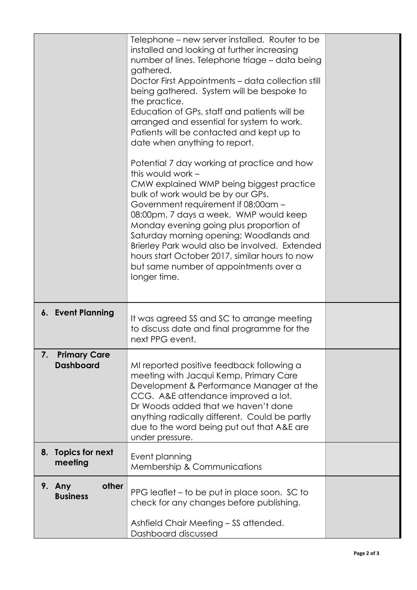|    |                                         | Telephone – new server installed. Router to be<br>installed and looking at further increasing<br>number of lines. Telephone triage - data being<br>gathered.<br>Doctor First Appointments - data collection still<br>being gathered. System will be bespoke to<br>the practice.<br>Education of GPs, staff and patients will be<br>arranged and essential for system to work.<br>Patients will be contacted and kept up to<br>date when anything to report.<br>Potential 7 day working at practice and how<br>this would work -<br>CMW explained WMP being biggest practice<br>bulk of work would be by our GPs.<br>Government requirement if 08:00am -<br>08:00pm, 7 days a week. WMP would keep<br>Monday evening going plus proportion of<br>Saturday morning opening; Woodlands and<br>Brierley Park would also be involved. Extended<br>hours start October 2017, similar hours to now<br>but same number of appointments over a<br>longer time. |  |
|----|-----------------------------------------|-------------------------------------------------------------------------------------------------------------------------------------------------------------------------------------------------------------------------------------------------------------------------------------------------------------------------------------------------------------------------------------------------------------------------------------------------------------------------------------------------------------------------------------------------------------------------------------------------------------------------------------------------------------------------------------------------------------------------------------------------------------------------------------------------------------------------------------------------------------------------------------------------------------------------------------------------------|--|
|    | 6. Event Planning                       | It was agreed SS and SC to arrange meeting<br>to discuss date and final programme for the<br>next PPG event.                                                                                                                                                                                                                                                                                                                                                                                                                                                                                                                                                                                                                                                                                                                                                                                                                                          |  |
| 7. | <b>Primary Care</b><br><b>Dashboard</b> | MI reported positive feedback following a<br>meeting with Jacqui Kemp, Primary Care<br>Development & Performance Manager at the<br>CCG. A&E attendance improved a lot.<br>Dr Woods added that we haven't done<br>anything radically different. Could be partly<br>due to the word being put out that A&E are<br>under pressure.                                                                                                                                                                                                                                                                                                                                                                                                                                                                                                                                                                                                                       |  |
|    | 8. Topics for next<br>meeting           | Event planning<br>Membership & Communications                                                                                                                                                                                                                                                                                                                                                                                                                                                                                                                                                                                                                                                                                                                                                                                                                                                                                                         |  |
|    | other<br>9. Any<br><b>Business</b>      | PPG leaflet – to be put in place soon. SC to<br>check for any changes before publishing.<br>Ashfield Chair Meeting - SS attended.<br>Dashboard discussed                                                                                                                                                                                                                                                                                                                                                                                                                                                                                                                                                                                                                                                                                                                                                                                              |  |